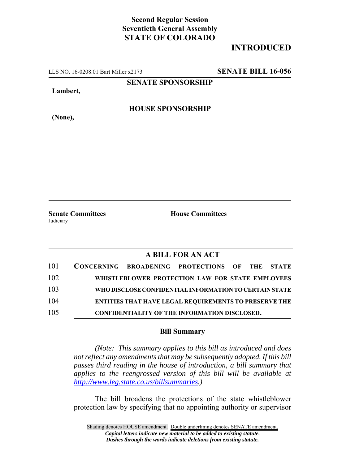## **Second Regular Session Seventieth General Assembly STATE OF COLORADO**

## **INTRODUCED**

LLS NO. 16-0208.01 Bart Miller x2173 **SENATE BILL 16-056**

**SENATE SPONSORSHIP**

**Lambert,**

**(None),**

**HOUSE SPONSORSHIP**

Judiciary

**Senate Committees House Committees** 

## **A BILL FOR AN ACT**

| 101 |  | CONCERNING BROADENING PROTECTIONS OF THE STATE               |  |  |
|-----|--|--------------------------------------------------------------|--|--|
| 102 |  | WHISTLEBLOWER PROTECTION LAW FOR STATE EMPLOYEES             |  |  |
| 103 |  | WHO DISCLOSE CONFIDENTIAL INFORMATION TO CERTAIN STATE       |  |  |
| 104 |  | <b>ENTITIES THAT HAVE LEGAL REQUIREMENTS TO PRESERVE THE</b> |  |  |
| 105 |  | <b>CONFIDENTIALITY OF THE INFORMATION DISCLOSED.</b>         |  |  |

## **Bill Summary**

*(Note: This summary applies to this bill as introduced and does not reflect any amendments that may be subsequently adopted. If this bill passes third reading in the house of introduction, a bill summary that applies to the reengrossed version of this bill will be available at http://www.leg.state.co.us/billsummaries.)*

The bill broadens the protections of the state whistleblower protection law by specifying that no appointing authority or supervisor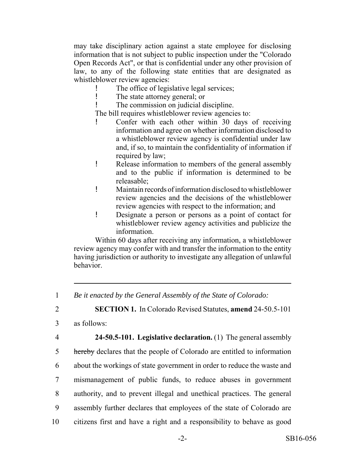may take disciplinary action against a state employee for disclosing information that is not subject to public inspection under the "Colorado Open Records Act", or that is confidential under any other provision of law, to any of the following state entities that are designated as whistleblower review agencies:

- ! The office of legislative legal services;
- ! The state attorney general; or

! The commission on judicial discipline.

The bill requires whistleblower review agencies to:

- Confer with each other within 30 days of receiving information and agree on whether information disclosed to a whistleblower review agency is confidential under law and, if so, to maintain the confidentiality of information if required by law;
- ! Release information to members of the general assembly and to the public if information is determined to be releasable;
- ! Maintain records of information disclosed to whistleblower review agencies and the decisions of the whistleblower review agencies with respect to the information; and
- ! Designate a person or persons as a point of contact for whistleblower review agency activities and publicize the information.

Within 60 days after receiving any information, a whistleblower review agency may confer with and transfer the information to the entity having jurisdiction or authority to investigate any allegation of unlawful behavior.

2 **SECTION 1.** In Colorado Revised Statutes, **amend** 24-50.5-101

- 3 as follows:
- 

 **24-50.5-101. Legislative declaration.** (1) The general assembly 5 hereby declares that the people of Colorado are entitled to information about the workings of state government in order to reduce the waste and mismanagement of public funds, to reduce abuses in government authority, and to prevent illegal and unethical practices. The general assembly further declares that employees of the state of Colorado are citizens first and have a right and a responsibility to behave as good

<sup>1</sup> *Be it enacted by the General Assembly of the State of Colorado:*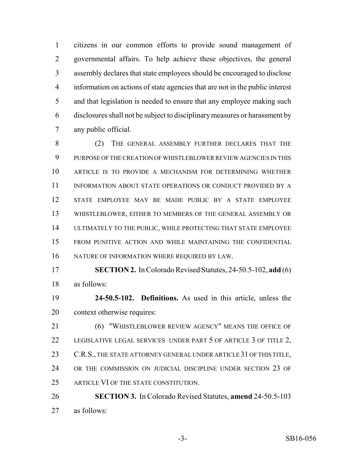citizens in our common efforts to provide sound management of governmental affairs. To help achieve these objectives, the general assembly declares that state employees should be encouraged to disclose information on actions of state agencies that are not in the public interest and that legislation is needed to ensure that any employee making such disclosures shall not be subject to disciplinary measures or harassment by any public official.

 (2) THE GENERAL ASSEMBLY FURTHER DECLARES THAT THE PURPOSE OF THE CREATION OF WHISTLEBLOWER REVIEW AGENCIES IN THIS ARTICLE IS TO PROVIDE A MECHANISM FOR DETERMINING WHETHER 11 INFORMATION ABOUT STATE OPERATIONS OR CONDUCT PROVIDED BY A STATE EMPLOYEE MAY BE MADE PUBLIC BY A STATE EMPLOYEE WHISTLEBLOWER, EITHER TO MEMBERS OF THE GENERAL ASSEMBLY OR ULTIMATELY TO THE PUBLIC, WHILE PROTECTING THAT STATE EMPLOYEE FROM PUNITIVE ACTION AND WHILE MAINTAINING THE CONFIDENTIAL NATURE OF INFORMATION WHERE REQUIRED BY LAW.

 **SECTION 2.** In Colorado Revised Statutes, 24-50.5-102, **add** (6) as follows:

 **24-50.5-102. Definitions.** As used in this article, unless the context otherwise requires:

 (6) "WHISTLEBLOWER REVIEW AGENCY" MEANS THE OFFICE OF 22 LEGISLATIVE LEGAL SERVICES UNDER PART 5 OF ARTICLE 3 OF TITLE 2, 23 C.R.S., THE STATE ATTORNEY GENERAL UNDER ARTICLE 31 OF THIS TITLE, OR THE COMMISSION ON JUDICIAL DISCIPLINE UNDER SECTION 23 OF ARTICLE VI OF THE STATE CONSTITUTION.

 **SECTION 3.** In Colorado Revised Statutes, **amend** 24-50.5-103 as follows: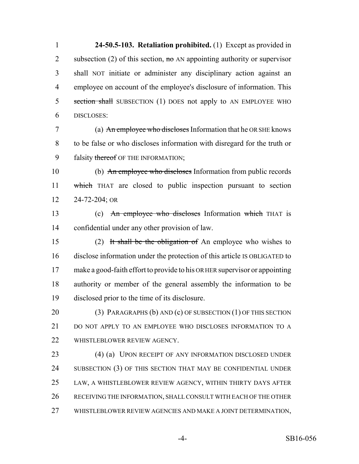**24-50.5-103. Retaliation prohibited.** (1) Except as provided in 2 subsection (2) of this section,  $\theta$  and appointing authority or supervisor shall NOT initiate or administer any disciplinary action against an employee on account of the employee's disclosure of information. This 5 section shall SUBSECTION (1) DOES not apply to AN EMPLOYEE WHO DISCLOSES:

 (a) An employee who discloses Information that he OR SHE knows to be false or who discloses information with disregard for the truth or 9 falsity thereof OF THE INFORMATION;

 (b) An employee who discloses Information from public records which THAT are closed to public inspection pursuant to section 24-72-204; OR

13 (c) An employee who discloses Information which THAT is confidential under any other provision of law.

 (2) It shall be the obligation of An employee who wishes to disclose information under the protection of this article IS OBLIGATED to make a good-faith effort to provide to his OR HER supervisor or appointing authority or member of the general assembly the information to be disclosed prior to the time of its disclosure.

20 (3) PARAGRAPHS (b) AND (c) OF SUBSECTION (1) OF THIS SECTION 21 DO NOT APPLY TO AN EMPLOYEE WHO DISCLOSES INFORMATION TO A 22 WHISTLEBLOWER REVIEW AGENCY.

 (4) (a) UPON RECEIPT OF ANY INFORMATION DISCLOSED UNDER 24 SUBSECTION (3) OF THIS SECTION THAT MAY BE CONFIDENTIAL UNDER LAW, A WHISTLEBLOWER REVIEW AGENCY, WITHIN THIRTY DAYS AFTER RECEIVING THE INFORMATION, SHALL CONSULT WITH EACH OF THE OTHER WHISTLEBLOWER REVIEW AGENCIES AND MAKE A JOINT DETERMINATION,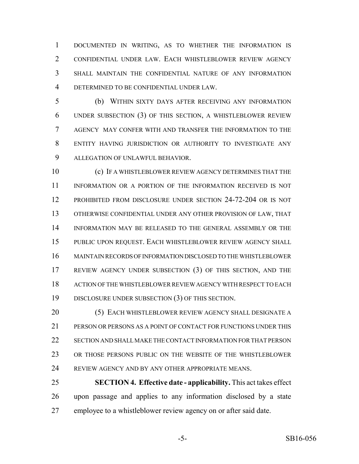DOCUMENTED IN WRITING, AS TO WHETHER THE INFORMATION IS CONFIDENTIAL UNDER LAW. EACH WHISTLEBLOWER REVIEW AGENCY SHALL MAINTAIN THE CONFIDENTIAL NATURE OF ANY INFORMATION DETERMINED TO BE CONFIDENTIAL UNDER LAW.

 (b) WITHIN SIXTY DAYS AFTER RECEIVING ANY INFORMATION UNDER SUBSECTION (3) OF THIS SECTION, A WHISTLEBLOWER REVIEW AGENCY MAY CONFER WITH AND TRANSFER THE INFORMATION TO THE ENTITY HAVING JURISDICTION OR AUTHORITY TO INVESTIGATE ANY ALLEGATION OF UNLAWFUL BEHAVIOR.

 (c) IF A WHISTLEBLOWER REVIEW AGENCY DETERMINES THAT THE 11 INFORMATION OR A PORTION OF THE INFORMATION RECEIVED IS NOT PROHIBITED FROM DISCLOSURE UNDER SECTION 24-72-204 OR IS NOT OTHERWISE CONFIDENTIAL UNDER ANY OTHER PROVISION OF LAW, THAT INFORMATION MAY BE RELEASED TO THE GENERAL ASSEMBLY OR THE PUBLIC UPON REQUEST. EACH WHISTLEBLOWER REVIEW AGENCY SHALL MAINTAIN RECORDS OF INFORMATION DISCLOSED TO THE WHISTLEBLOWER REVIEW AGENCY UNDER SUBSECTION (3) OF THIS SECTION, AND THE ACTION OF THE WHISTLEBLOWER REVIEW AGENCY WITH RESPECT TO EACH DISCLOSURE UNDER SUBSECTION (3) OF THIS SECTION.

 (5) EACH WHISTLEBLOWER REVIEW AGENCY SHALL DESIGNATE A PERSON OR PERSONS AS A POINT OF CONTACT FOR FUNCTIONS UNDER THIS SECTION AND SHALL MAKE THE CONTACT INFORMATION FOR THAT PERSON OR THOSE PERSONS PUBLIC ON THE WEBSITE OF THE WHISTLEBLOWER REVIEW AGENCY AND BY ANY OTHER APPROPRIATE MEANS.

 **SECTION 4. Effective date - applicability.** This act takes effect upon passage and applies to any information disclosed by a state employee to a whistleblower review agency on or after said date.